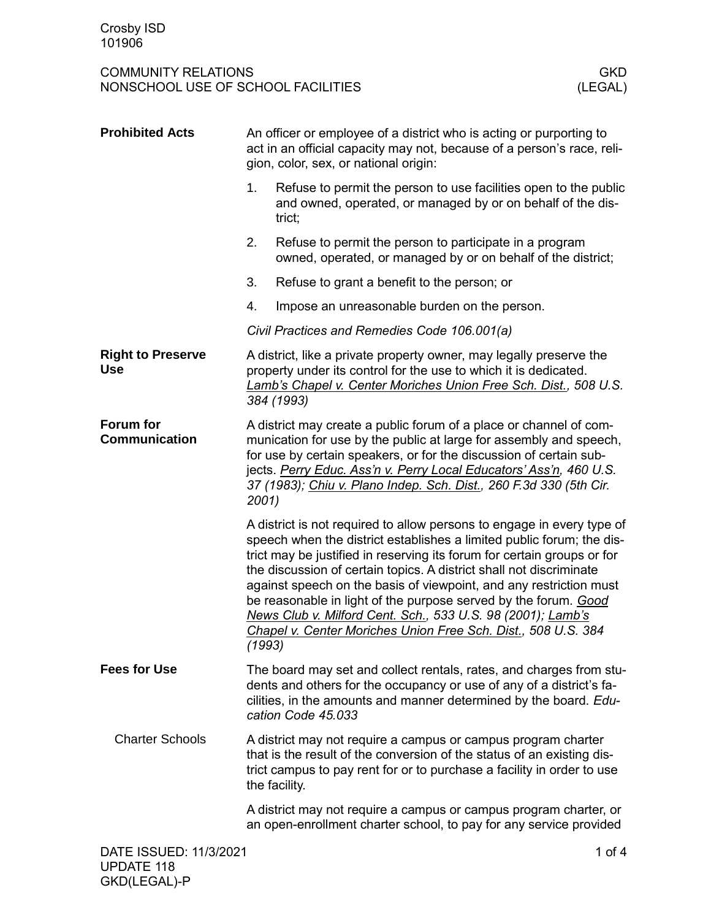| <b>Prohibited Acts</b>                   | An officer or employee of a district who is acting or purporting to<br>act in an official capacity may not, because of a person's race, reli-<br>gion, color, sex, or national origin:                                                                                                                                                                              |                                                                                                                                                                                                                                                                                                                                                                                                                                                                                                                                                                            |  |
|------------------------------------------|---------------------------------------------------------------------------------------------------------------------------------------------------------------------------------------------------------------------------------------------------------------------------------------------------------------------------------------------------------------------|----------------------------------------------------------------------------------------------------------------------------------------------------------------------------------------------------------------------------------------------------------------------------------------------------------------------------------------------------------------------------------------------------------------------------------------------------------------------------------------------------------------------------------------------------------------------------|--|
|                                          | 1.                                                                                                                                                                                                                                                                                                                                                                  | Refuse to permit the person to use facilities open to the public<br>and owned, operated, or managed by or on behalf of the dis-<br>trict;                                                                                                                                                                                                                                                                                                                                                                                                                                  |  |
|                                          | 2.                                                                                                                                                                                                                                                                                                                                                                  | Refuse to permit the person to participate in a program<br>owned, operated, or managed by or on behalf of the district;                                                                                                                                                                                                                                                                                                                                                                                                                                                    |  |
|                                          | 3.                                                                                                                                                                                                                                                                                                                                                                  | Refuse to grant a benefit to the person; or                                                                                                                                                                                                                                                                                                                                                                                                                                                                                                                                |  |
|                                          | 4.                                                                                                                                                                                                                                                                                                                                                                  | Impose an unreasonable burden on the person.                                                                                                                                                                                                                                                                                                                                                                                                                                                                                                                               |  |
|                                          |                                                                                                                                                                                                                                                                                                                                                                     | Civil Practices and Remedies Code 106.001(a)                                                                                                                                                                                                                                                                                                                                                                                                                                                                                                                               |  |
| <b>Right to Preserve</b><br><b>Use</b>   |                                                                                                                                                                                                                                                                                                                                                                     | A district, like a private property owner, may legally preserve the<br>property under its control for the use to which it is dedicated.<br>Lamb's Chapel v. Center Moriches Union Free Sch. Dist., 508 U.S.<br>384 (1993)                                                                                                                                                                                                                                                                                                                                                  |  |
| <b>Forum for</b><br><b>Communication</b> | A district may create a public forum of a place or channel of com-<br>munication for use by the public at large for assembly and speech,<br>for use by certain speakers, or for the discussion of certain sub-<br>jects. Perry Educ. Ass'n v. Perry Local Educators' Ass'n, 460 U.S.<br>37 (1983); Chiu v. Plano Indep. Sch. Dist., 260 F.3d 330 (5th Cir.<br>2001) |                                                                                                                                                                                                                                                                                                                                                                                                                                                                                                                                                                            |  |
|                                          | (1993)                                                                                                                                                                                                                                                                                                                                                              | A district is not required to allow persons to engage in every type of<br>speech when the district establishes a limited public forum; the dis-<br>trict may be justified in reserving its forum for certain groups or for<br>the discussion of certain topics. A district shall not discriminate<br>against speech on the basis of viewpoint, and any restriction must<br>be reasonable in light of the purpose served by the forum. Good<br>News Club v. Milford Cent. Sch., 533 U.S. 98 (2001); Lamb's<br>Chapel v. Center Moriches Union Free Sch. Dist., 508 U.S. 384 |  |
| <b>Fees for Use</b>                      |                                                                                                                                                                                                                                                                                                                                                                     | The board may set and collect rentals, rates, and charges from stu-<br>dents and others for the occupancy or use of any of a district's fa-<br>cilities, in the amounts and manner determined by the board. Edu-<br>cation Code 45.033                                                                                                                                                                                                                                                                                                                                     |  |
| <b>Charter Schools</b>                   |                                                                                                                                                                                                                                                                                                                                                                     | A district may not require a campus or campus program charter<br>that is the result of the conversion of the status of an existing dis-<br>trict campus to pay rent for or to purchase a facility in order to use<br>the facility.                                                                                                                                                                                                                                                                                                                                         |  |
|                                          |                                                                                                                                                                                                                                                                                                                                                                     | A district may not require a campus or campus program charter, or<br>an open-enrollment charter school, to pay for any service provided                                                                                                                                                                                                                                                                                                                                                                                                                                    |  |
| DATE ISSUED: 11/3/2021                   |                                                                                                                                                                                                                                                                                                                                                                     | 1 of $4$                                                                                                                                                                                                                                                                                                                                                                                                                                                                                                                                                                   |  |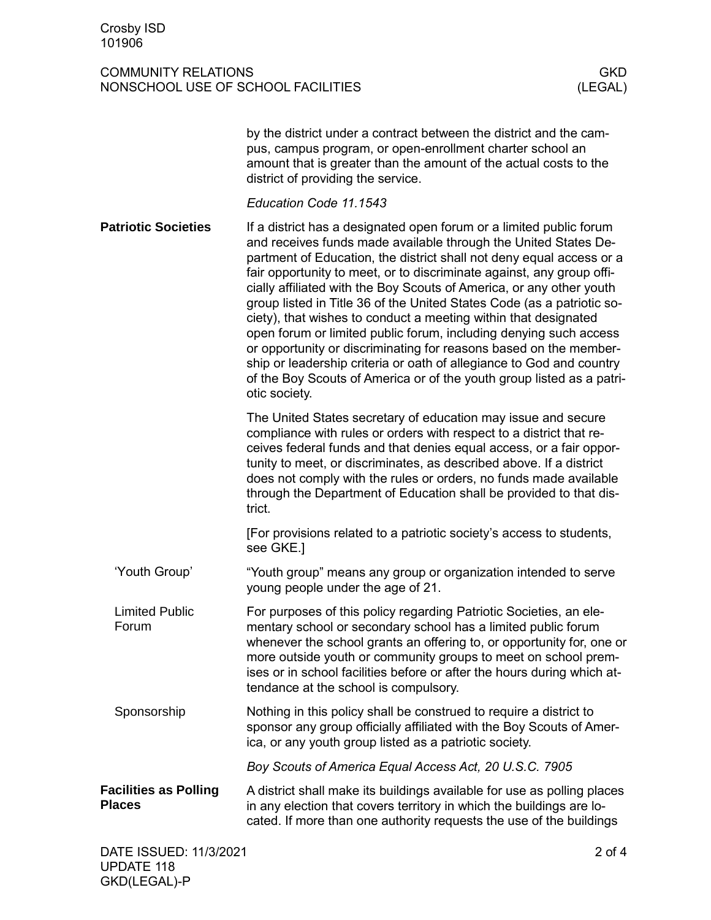|                                               | by the district under a contract between the district and the cam-<br>pus, campus program, or open-enrollment charter school an<br>amount that is greater than the amount of the actual costs to the<br>district of providing the service.                                                                                                                                                                                                                                                                                                                                                                                                                                                                                                                                                                               |
|-----------------------------------------------|--------------------------------------------------------------------------------------------------------------------------------------------------------------------------------------------------------------------------------------------------------------------------------------------------------------------------------------------------------------------------------------------------------------------------------------------------------------------------------------------------------------------------------------------------------------------------------------------------------------------------------------------------------------------------------------------------------------------------------------------------------------------------------------------------------------------------|
|                                               | Education Code 11.1543                                                                                                                                                                                                                                                                                                                                                                                                                                                                                                                                                                                                                                                                                                                                                                                                   |
| <b>Patriotic Societies</b>                    | If a district has a designated open forum or a limited public forum<br>and receives funds made available through the United States De-<br>partment of Education, the district shall not deny equal access or a<br>fair opportunity to meet, or to discriminate against, any group offi-<br>cially affiliated with the Boy Scouts of America, or any other youth<br>group listed in Title 36 of the United States Code (as a patriotic so-<br>ciety), that wishes to conduct a meeting within that designated<br>open forum or limited public forum, including denying such access<br>or opportunity or discriminating for reasons based on the member-<br>ship or leadership criteria or oath of allegiance to God and country<br>of the Boy Scouts of America or of the youth group listed as a patri-<br>otic society. |
|                                               | The United States secretary of education may issue and secure<br>compliance with rules or orders with respect to a district that re-<br>ceives federal funds and that denies equal access, or a fair oppor-<br>tunity to meet, or discriminates, as described above. If a district<br>does not comply with the rules or orders, no funds made available<br>through the Department of Education shall be provided to that dis-<br>trict.                                                                                                                                                                                                                                                                                                                                                                                  |
|                                               | [For provisions related to a patriotic society's access to students,<br>see GKE.]                                                                                                                                                                                                                                                                                                                                                                                                                                                                                                                                                                                                                                                                                                                                        |
| 'Youth Group'                                 | "Youth group" means any group or organization intended to serve<br>young people under the age of 21.                                                                                                                                                                                                                                                                                                                                                                                                                                                                                                                                                                                                                                                                                                                     |
| <b>Limited Public</b><br>Forum                | For purposes of this policy regarding Patriotic Societies, an ele-<br>mentary school or secondary school has a limited public forum<br>whenever the school grants an offering to, or opportunity for, one or<br>more outside youth or community groups to meet on school prem-<br>ises or in school facilities before or after the hours during which at-<br>tendance at the school is compulsory.                                                                                                                                                                                                                                                                                                                                                                                                                       |
| Sponsorship                                   | Nothing in this policy shall be construed to require a district to<br>sponsor any group officially affiliated with the Boy Scouts of Amer-<br>ica, or any youth group listed as a patriotic society.                                                                                                                                                                                                                                                                                                                                                                                                                                                                                                                                                                                                                     |
|                                               | Boy Scouts of America Equal Access Act, 20 U.S.C. 7905                                                                                                                                                                                                                                                                                                                                                                                                                                                                                                                                                                                                                                                                                                                                                                   |
| <b>Facilities as Polling</b><br><b>Places</b> | A district shall make its buildings available for use as polling places<br>in any election that covers territory in which the buildings are lo-<br>cated. If more than one authority requests the use of the buildings                                                                                                                                                                                                                                                                                                                                                                                                                                                                                                                                                                                                   |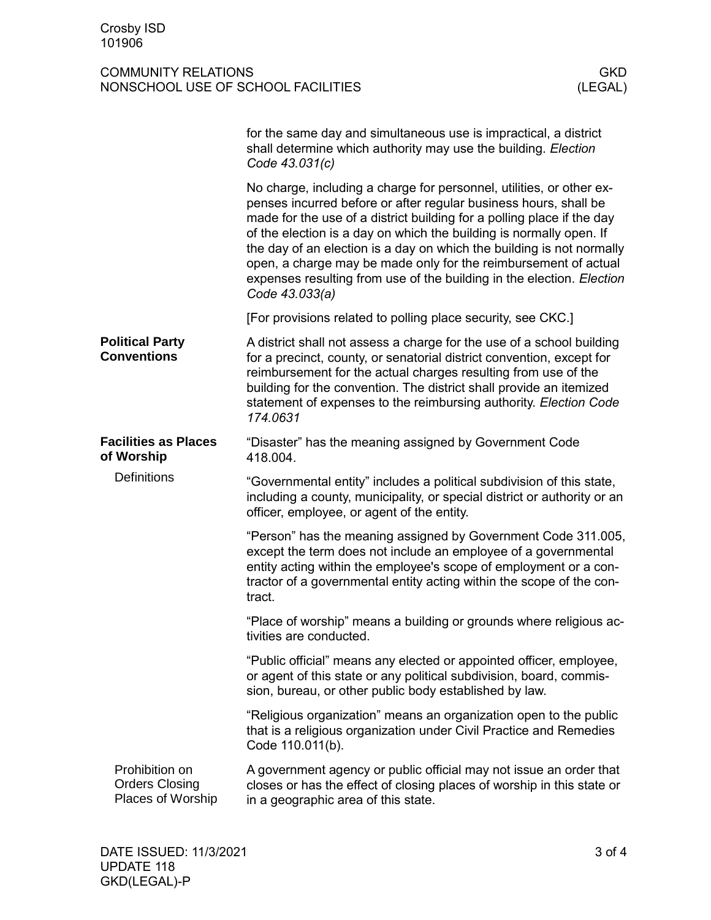|                                                              | for the same day and simultaneous use is impractical, a district<br>shall determine which authority may use the building. Election<br>Code 43.031(c)                                                                                                                                                                                                                                                                                                                                                                             |
|--------------------------------------------------------------|----------------------------------------------------------------------------------------------------------------------------------------------------------------------------------------------------------------------------------------------------------------------------------------------------------------------------------------------------------------------------------------------------------------------------------------------------------------------------------------------------------------------------------|
|                                                              | No charge, including a charge for personnel, utilities, or other ex-<br>penses incurred before or after regular business hours, shall be<br>made for the use of a district building for a polling place if the day<br>of the election is a day on which the building is normally open. If<br>the day of an election is a day on which the building is not normally<br>open, a charge may be made only for the reimbursement of actual<br>expenses resulting from use of the building in the election. Election<br>Code 43.033(a) |
|                                                              | [For provisions related to polling place security, see CKC.]                                                                                                                                                                                                                                                                                                                                                                                                                                                                     |
| <b>Political Party</b><br><b>Conventions</b>                 | A district shall not assess a charge for the use of a school building<br>for a precinct, county, or senatorial district convention, except for<br>reimbursement for the actual charges resulting from use of the<br>building for the convention. The district shall provide an itemized<br>statement of expenses to the reimbursing authority. Election Code<br>174.0631                                                                                                                                                         |
| <b>Facilities as Places</b><br>of Worship                    | "Disaster" has the meaning assigned by Government Code<br>418.004.                                                                                                                                                                                                                                                                                                                                                                                                                                                               |
| <b>Definitions</b>                                           | "Governmental entity" includes a political subdivision of this state,<br>including a county, municipality, or special district or authority or an<br>officer, employee, or agent of the entity.                                                                                                                                                                                                                                                                                                                                  |
|                                                              | "Person" has the meaning assigned by Government Code 311.005,<br>except the term does not include an employee of a governmental<br>entity acting within the employee's scope of employment or a con-<br>tractor of a governmental entity acting within the scope of the con-<br>tract.                                                                                                                                                                                                                                           |
|                                                              | "Place of worship" means a building or grounds where religious ac-<br>tivities are conducted.                                                                                                                                                                                                                                                                                                                                                                                                                                    |
|                                                              | "Public official" means any elected or appointed officer, employee,<br>or agent of this state or any political subdivision, board, commis-<br>sion, bureau, or other public body established by law.                                                                                                                                                                                                                                                                                                                             |
|                                                              | "Religious organization" means an organization open to the public<br>that is a religious organization under Civil Practice and Remedies<br>Code 110.011(b).                                                                                                                                                                                                                                                                                                                                                                      |
| Prohibition on<br><b>Orders Closing</b><br>Places of Worship | A government agency or public official may not issue an order that<br>closes or has the effect of closing places of worship in this state or<br>in a geographic area of this state.                                                                                                                                                                                                                                                                                                                                              |